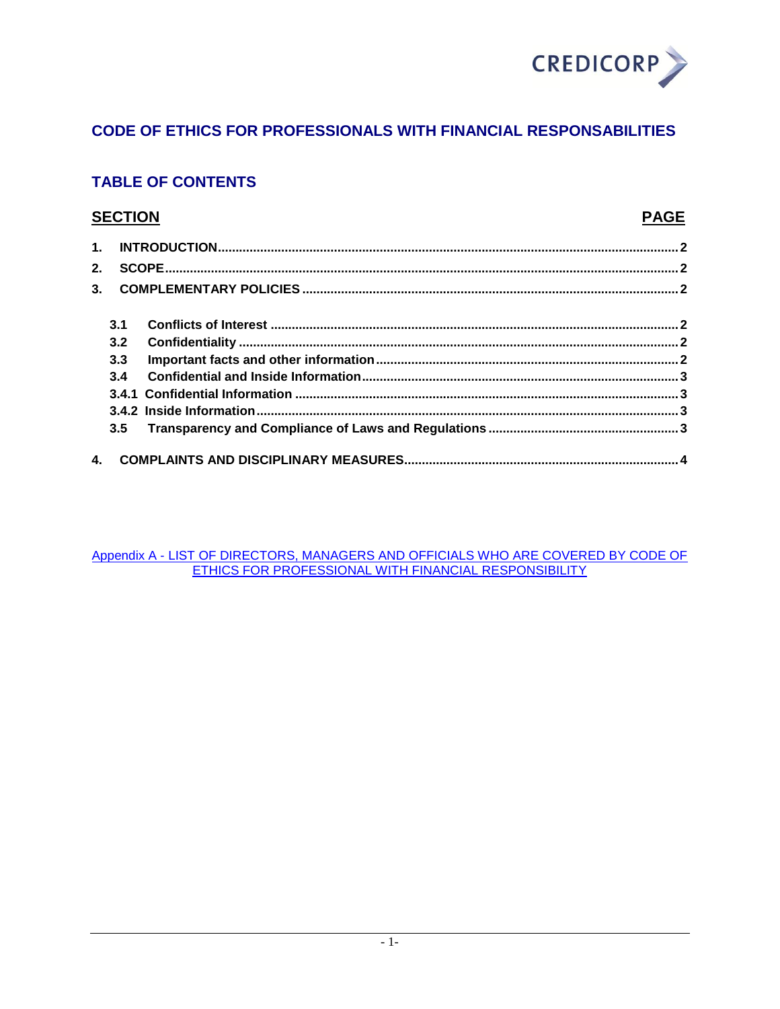

## **CODE OF ETHICS FOR PROFESSIONALS WITH FINANCIAL RESPONSABILITIES**

# **TABLE OF CONTENTS**

## **SECTION**

## **PAGE**

| 2. |     |  |
|----|-----|--|
|    |     |  |
|    |     |  |
|    | 3.1 |  |
|    | 3.2 |  |
|    | 3.3 |  |
|    | 3.4 |  |
|    |     |  |
|    |     |  |
|    | 3.5 |  |
|    |     |  |

Appendix A - LIST OF DIRECTORS, MANAGERS AND OFFICIALS WHO ARE COVERED BY CODE OF<br>ETHICS FOR PROFESSIONAL WITH FINANCIAL RESPONSIBILITY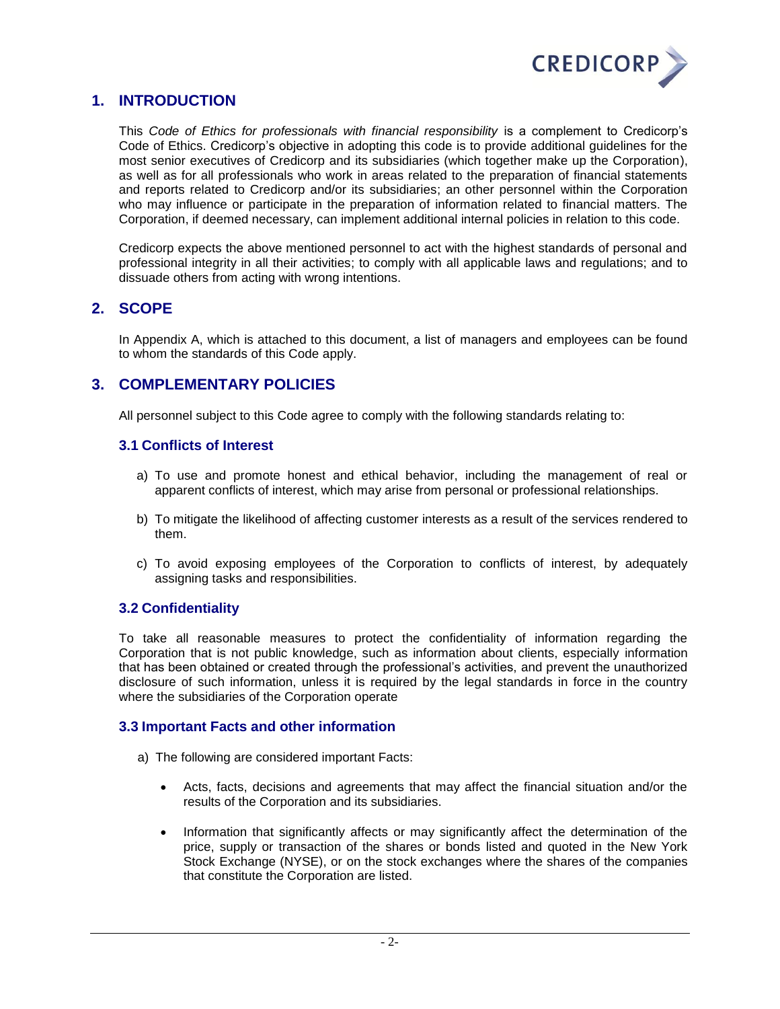

## <span id="page-1-0"></span>**1. INTRODUCTION**

This *Code of Ethics for professionals with financial responsibility* is a complement to Credicorp's Code of Ethics. Credicorp's objective in adopting this code is to provide additional guidelines for the most senior executives of Credicorp and its subsidiaries (which together make up the Corporation), as well as for all professionals who work in areas related to the preparation of financial statements and reports related to Credicorp and/or its subsidiaries; an other personnel within the Corporation who may influence or participate in the preparation of information related to financial matters. The Corporation, if deemed necessary, can implement additional internal policies in relation to this code.

Credicorp expects the above mentioned personnel to act with the highest standards of personal and professional integrity in all their activities; to comply with all applicable laws and regulations; and to dissuade others from acting with wrong intentions.

## <span id="page-1-1"></span>**2. SCOPE**

In Appendix A, which is attached to this document, a list of managers and employees can be found to whom the standards of this Code apply.

## <span id="page-1-2"></span>**3. COMPLEMENTARY POLICIES**

All personnel subject to this Code agree to comply with the following standards relating to:

#### <span id="page-1-3"></span>**3.1 Conflicts of Interest**

- a) To use and promote honest and ethical behavior, including the management of real or apparent conflicts of interest, which may arise from personal or professional relationships.
- b) To mitigate the likelihood of affecting customer interests as a result of the services rendered to them.
- c) To avoid exposing employees of the Corporation to conflicts of interest, by adequately assigning tasks and responsibilities.

#### <span id="page-1-4"></span>**3.2 Confidentiality**

To take all reasonable measures to protect the confidentiality of information regarding the Corporation that is not public knowledge, such as information about clients, especially information that has been obtained or created through the professional's activities, and prevent the unauthorized disclosure of such information, unless it is required by the legal standards in force in the country where the subsidiaries of the Corporation operate

#### <span id="page-1-5"></span>**3.3 Important Facts and other information**

- a) The following are considered important Facts:
	- Acts, facts, decisions and agreements that may affect the financial situation and/or the results of the Corporation and its subsidiaries.
	- Information that significantly affects or may significantly affect the determination of the price, supply or transaction of the shares or bonds listed and quoted in the New York Stock Exchange (NYSE), or on the stock exchanges where the shares of the companies that constitute the Corporation are listed.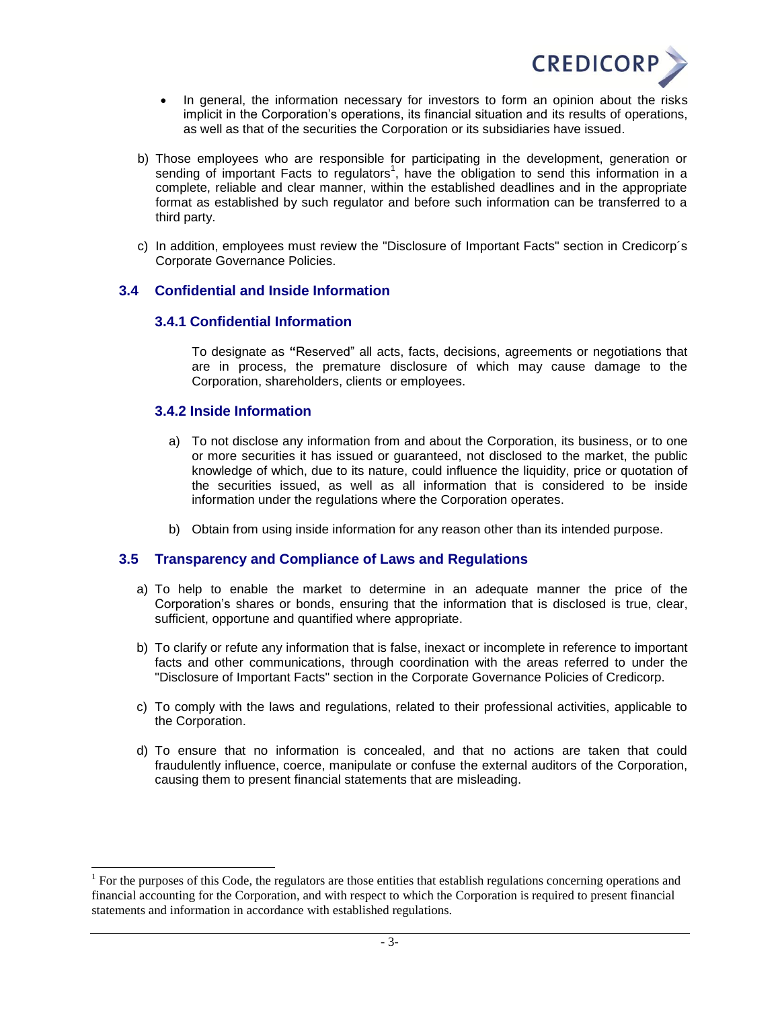

- In general, the information necessary for investors to form an opinion about the risks implicit in the Corporation's operations, its financial situation and its results of operations, as well as that of the securities the Corporation or its subsidiaries have issued.
- b) Those employees who are responsible for participating in the development, generation or sending of important Facts to regulators<sup>1</sup>, have the obligation to send this information in a complete, reliable and clear manner, within the established deadlines and in the appropriate format as established by such regulator and before such information can be transferred to a third party.
- c) In addition, employees must review the "Disclosure of Important Facts" section in Credicorp´s Corporate Governance Policies.

#### <span id="page-2-1"></span><span id="page-2-0"></span>**3.4 Confidential and Inside Information**

#### **3.4.1 Confidential Information**

To designate as **"**Reserved" all acts, facts, decisions, agreements or negotiations that are in process, the premature disclosure of which may cause damage to the Corporation, shareholders, clients or employees.

#### <span id="page-2-2"></span>**3.4.2 Inside Information**

l

- a) To not disclose any information from and about the Corporation, its business, or to one or more securities it has issued or guaranteed, not disclosed to the market, the public knowledge of which, due to its nature, could influence the liquidity, price or quotation of the securities issued, as well as all information that is considered to be inside information under the regulations where the Corporation operates.
- b) Obtain from using inside information for any reason other than its intended purpose.

#### <span id="page-2-3"></span>**3.5 Transparency and Compliance of Laws and Regulations**

- a) To help to enable the market to determine in an adequate manner the price of the Corporation's shares or bonds, ensuring that the information that is disclosed is true, clear, sufficient, opportune and quantified where appropriate.
- b) To clarify or refute any information that is false, inexact or incomplete in reference to important facts and other communications, through coordination with the areas referred to under the "Disclosure of Important Facts" section in the Corporate Governance Policies of Credicorp.
- c) To comply with the laws and regulations, related to their professional activities, applicable to the Corporation.
- d) To ensure that no information is concealed, and that no actions are taken that could fraudulently influence, coerce, manipulate or confuse the external auditors of the Corporation, causing them to present financial statements that are misleading.

 $1$  For the purposes of this Code, the regulators are those entities that establish regulations concerning operations and financial accounting for the Corporation, and with respect to which the Corporation is required to present financial statements and information in accordance with established regulations.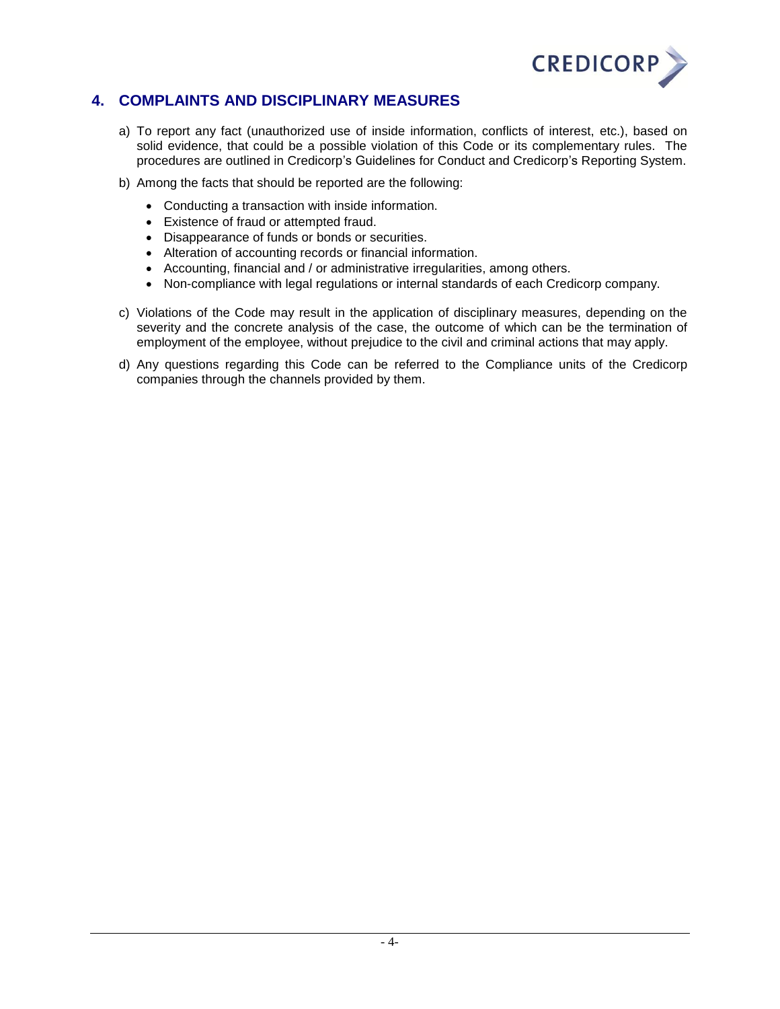

## <span id="page-3-0"></span>**4. COMPLAINTS AND DISCIPLINARY MEASURES**

- a) To report any fact (unauthorized use of inside information, conflicts of interest, etc.), based on solid evidence, that could be a possible violation of this Code or its complementary rules. The procedures are outlined in Credicorp's Guidelines for Conduct and Credicorp's Reporting System.
- b) Among the facts that should be reported are the following:
	- Conducting a transaction with inside information.
	- Existence of fraud or attempted fraud.
	- Disappearance of funds or bonds or securities.
	- Alteration of accounting records or financial information.
	- Accounting, financial and / or administrative irregularities, among others.
	- Non-compliance with legal regulations or internal standards of each Credicorp company.
- c) Violations of the Code may result in the application of disciplinary measures, depending on the severity and the concrete analysis of the case, the outcome of which can be the termination of employment of the employee, without prejudice to the civil and criminal actions that may apply.
- d) Any questions regarding this Code can be referred to the Compliance units of the Credicorp companies through the channels provided by them.